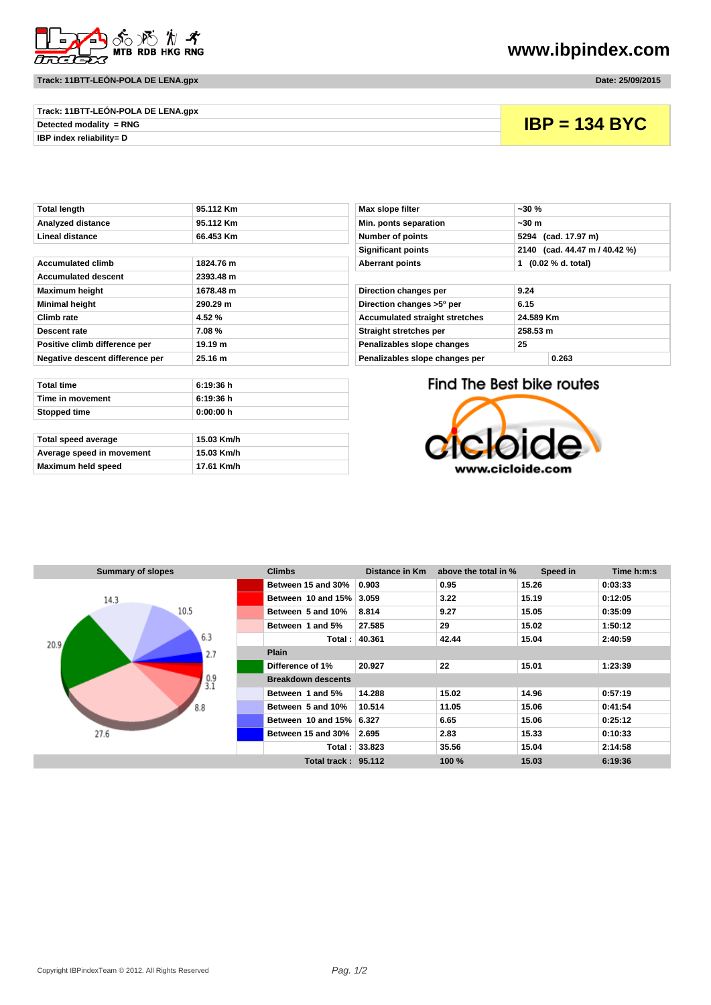

## **Track: 11BTT-LEÓN-POLA DE LENA.gpx Date: 25/09/2015**

**www.ibpindex.com**

| Track: 11BTT-LEON-POLA DE LENA.gpx |                 |
|------------------------------------|-----------------|
| Detected modality $= RNG$          | $IBP = 134$ BYC |
| IBP index reliability= D           |                 |

| 95.112 Km<br>Max slope filter<br>Min. ponts separation<br>95.112 Km | $-30%$<br>~50m                                  |
|---------------------------------------------------------------------|-------------------------------------------------|
|                                                                     |                                                 |
|                                                                     |                                                 |
| <b>Number of points</b><br>66.453 Km                                | 5294 (cad. 17.97 m)                             |
| <b>Significant points</b>                                           | 2140 (cad. 44.47 m                              |
| <b>Aberrant points</b>                                              | 1 (0.02 % d. total)                             |
|                                                                     |                                                 |
| Direction changes per                                               | 9.24                                            |
| Direction changes >5° per                                           | 6.15                                            |
| <b>Accumulated straight stretches</b>                               | 24.589 Km                                       |
| Straight stretches per                                              | 258.53 m                                        |
| Penalizables slope changes                                          | 25                                              |
| Penalizables slope changes per                                      | 0.263                                           |
|                                                                     | 1824.76 m<br>2393.48 m<br>1678.48 m<br>290.29 m |

| Min. ponts separation                 | ~50m                          |  |  |
|---------------------------------------|-------------------------------|--|--|
| <b>Number of points</b>               | 5294 (cad. 17.97 m)           |  |  |
| <b>Significant points</b>             | 2140 (cad. 44.47 m / 40.42 %) |  |  |
| <b>Aberrant points</b>                | (0.02 % d. total)<br>1        |  |  |
|                                       |                               |  |  |
| Direction changes per                 | 9.24                          |  |  |
| Direction changes >5° per             | 6.15                          |  |  |
| <b>Accumulated straight stretches</b> | 24.589 Km                     |  |  |
| Straight stretches per                | 258.53 m                      |  |  |
| Penalizables slope changes            | 25                            |  |  |
| Denelles blev elementen mensen        | <b></b>                       |  |  |

| nalizables slope changes per |  |
|------------------------------|--|
|------------------------------|--|

| Total time                | 6:19:36h   |  |  |
|---------------------------|------------|--|--|
| Time in movement          | 6:19:36h   |  |  |
| <b>Stopped time</b>       | 0:00:00 h  |  |  |
|                           |            |  |  |
| Total speed average       | 15.03 Km/h |  |  |
| Average speed in movement | 15.03 Km/h |  |  |

**Maximum held speed 17.61 Km/h**

## Find The Best bike routes



| <b>Summary of slopes</b> | <b>Climbs</b>              | Distance in Km | above the total in % | Speed in | Time h:m:s |  |  |  |  |
|--------------------------|----------------------------|----------------|----------------------|----------|------------|--|--|--|--|
|                          | Between 15 and 30%         | 0.903          | 0.95                 | 15.26    | 0:03:33    |  |  |  |  |
| 14.3                     | Between 10 and 15%         | 3.059          | 3.22                 | 15.19    | 0:12:05    |  |  |  |  |
| 10.5                     | Between 5 and 10%          | 8.814          | 9.27                 | 15.05    | 0:35:09    |  |  |  |  |
|                          | Between 1 and 5%           | 27.585         | 29                   | 15.02    | 1:50:12    |  |  |  |  |
| 6.3<br>20.9 <sub>4</sub> | Total:                     | 40.361         | 42.44                | 15.04    | 2:40:59    |  |  |  |  |
| 2.7                      | <b>Plain</b>               |                |                      |          |            |  |  |  |  |
| $^{0.9}_{3.1}$           | Difference of 1%           | 20.927         | 22                   | 15.01    | 1:23:39    |  |  |  |  |
|                          | <b>Breakdown descents</b>  |                |                      |          |            |  |  |  |  |
|                          | Between 1 and 5%           | 14.288         | 15.02                | 14.96    | 0:57:19    |  |  |  |  |
| 8.8                      | Between 5 and 10%          | 10.514         | 11.05                | 15.06    | 0:41:54    |  |  |  |  |
|                          | Between 10 and 15%         | 6.327          | 6.65                 | 15.06    | 0:25:12    |  |  |  |  |
| 27.6                     | Between 15 and 30%         | 2.695          | 2.83                 | 15.33    | 0:10:33    |  |  |  |  |
|                          |                            | Total: 33.823  | 35.56                | 15.04    | 2:14:58    |  |  |  |  |
|                          | <b>Total track: 95.112</b> |                | 100 %                | 15.03    | 6:19:36    |  |  |  |  |